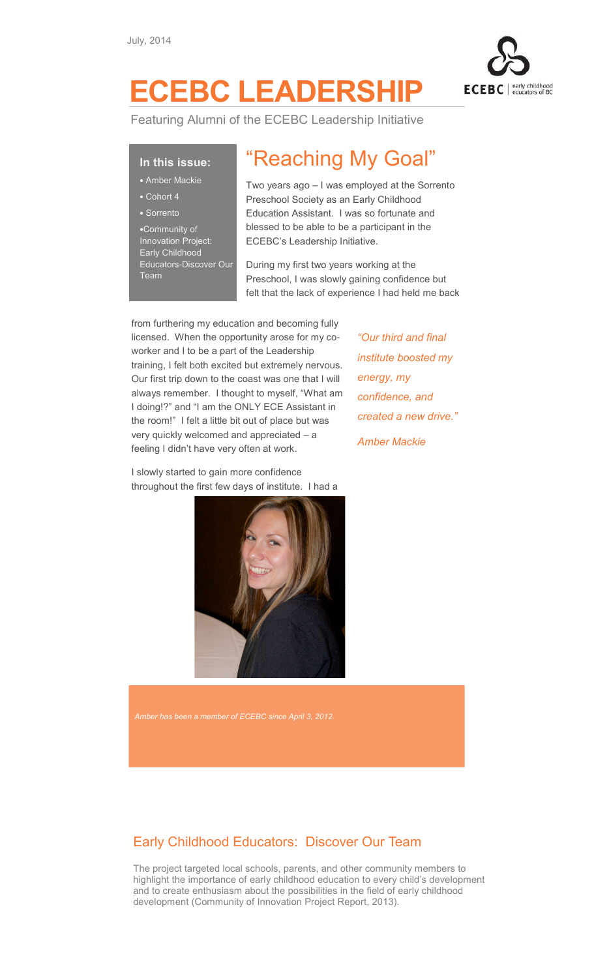

## ECEBC LEADERSHIP

Featuring Alumni of the ECEBC Leadership Initiative

## In this issue:

- Amber Mackie
- Cohort 4
- Sorrento

•Community of Innovation Project: Early Childhood Educators-Discover Our Team

## "Reaching My Goal"

Two years ago – I was employed at the Sorrento Preschool Society as an Early Childhood Education Assistant. I was so fortunate and blessed to be able to be a participant in the ECEBC's Leadership Initiative.

During my first two years working at the Preschool, I was slowly gaining confidence but felt that the lack of experience I had held me back

from furthering my education and becoming fully licensed. When the opportunity arose for my coworker and I to be a part of the Leadership training, I felt both excited but extremely nervous. Our first trip down to the coast was one that I will always remember. I thought to myself, "What am I doing!?" and "I am the ONLY ECE Assistant in the room!" I felt a little bit out of place but was very quickly welcomed and appreciated – a feeling I didn't have very often at work.

I slowly started to gain more confidence throughout the first few days of institute. I had a



Amber has been a member of ECEBC since April 3, 2012.

## Early Childhood Educators: Discover Our Team

The project targeted local schools, parents, and other community members to highlight the importance of early childhood education to every child's development and to create enthusiasm about the possibilities in the field of early childhood development (Community of Innovation Project Report, 2013).

"Our third and final institute boosted my energy, my confidence, and created a new drive." Amber Mackie